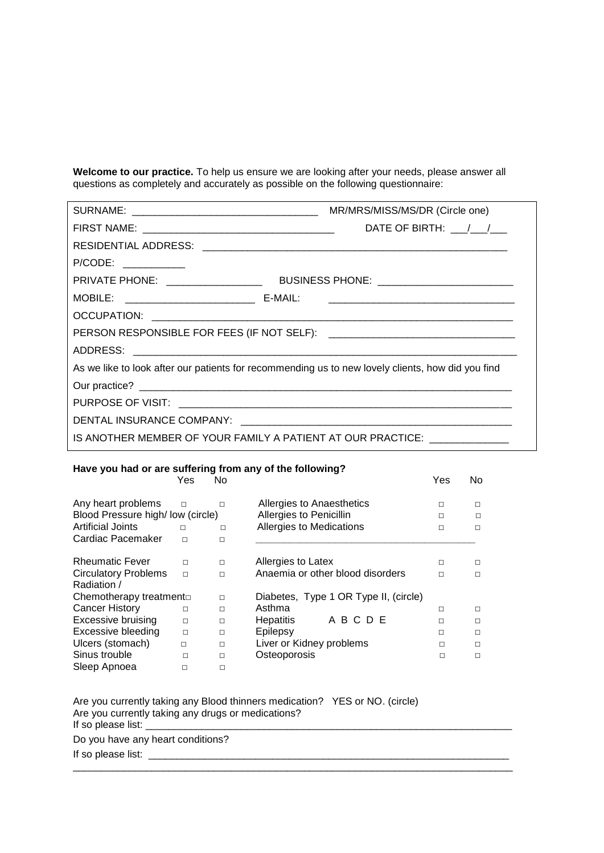**Welcome to our practice.** To help us ensure we are looking after your needs, please answer all questions as completely and accurately as possible on the following questionnaire:

|                                                     | MR/MRS/MISS/MS/DR (Circle one)                                                                    |
|-----------------------------------------------------|---------------------------------------------------------------------------------------------------|
|                                                     | DATE OF BIRTH: $\frac{1}{\sqrt{2}}$                                                               |
|                                                     |                                                                                                   |
| P/CODE: __________                                  |                                                                                                   |
|                                                     |                                                                                                   |
| MOBILE: ___________________________________ E-MAIL: |                                                                                                   |
|                                                     |                                                                                                   |
|                                                     |                                                                                                   |
|                                                     |                                                                                                   |
|                                                     | As we like to look after our patients for recommending us to new lovely clients, how did you find |
|                                                     |                                                                                                   |
|                                                     |                                                                                                   |
|                                                     |                                                                                                   |
|                                                     | IS ANOTHER MEMBER OF YOUR FAMILY A PATIENT AT OUR PRACTICE: _____________                         |
|                                                     |                                                                                                   |

## **Have you had or are suffering from any of the following?**

|                                  | Yes    | No.    |                                       | Yes | No. |
|----------------------------------|--------|--------|---------------------------------------|-----|-----|
| Any heart problems               | П      | П      | Allergies to Anaesthetics             | П   | п   |
| Blood Pressure high/low (circle) |        |        | Allergies to Penicillin               | П   | П   |
| Artificial Joints                | П      | П      | Allergies to Medications              | П   | п   |
| Cardiac Pacemaker                | П      | П      |                                       |     |     |
|                                  |        |        |                                       |     |     |
| <b>Rheumatic Fever</b>           | $\Box$ | $\Box$ | Allergies to Latex                    | п   |     |
| <b>Circulatory Problems</b>      | $\Box$ | $\Box$ | Anaemia or other blood disorders      | п   | п   |
| Radiation /                      |        |        |                                       |     |     |
| Chemotherapy treatmentor         |        | $\Box$ | Diabetes, Type 1 OR Type II, (circle) |     |     |
| <b>Cancer History</b>            | П      | П      | Asthma                                | п   | п   |
| <b>Excessive bruising</b>        | $\Box$ | □      | ABCDE<br><b>Hepatitis</b>             | п   | п   |
| <b>Excessive bleeding</b>        | $\Box$ | $\Box$ | Epilepsy                              | □   | п   |
| Ulcers (stomach)                 | П      | П      | Liver or Kidney problems              | П   | п   |
| Sinus trouble                    | П      | П      | Osteoporosis                          | П   | п   |
| Sleep Apnoea                     | П      | □      |                                       |     |     |

\_\_\_\_\_\_\_\_\_\_\_\_\_\_\_\_\_\_\_\_\_\_\_\_\_\_\_\_\_\_\_\_\_\_\_\_\_\_\_\_\_\_\_\_\_\_\_\_\_\_\_\_\_\_\_\_\_\_\_\_\_\_\_\_\_\_\_\_\_\_\_\_\_\_\_\_\_\_

Are you currently taking any Blood thinners medication? YES or NO. (circle) Are you currently taking any drugs or medications? If so please list:

Do you have any heart conditions?

If so please list: \_\_\_\_\_\_\_\_\_\_\_\_\_\_\_\_\_\_\_\_\_\_\_\_\_\_\_\_\_\_\_\_\_\_\_\_\_\_\_\_\_\_\_\_\_\_\_\_\_\_\_\_\_\_\_\_\_\_\_\_\_\_\_\_